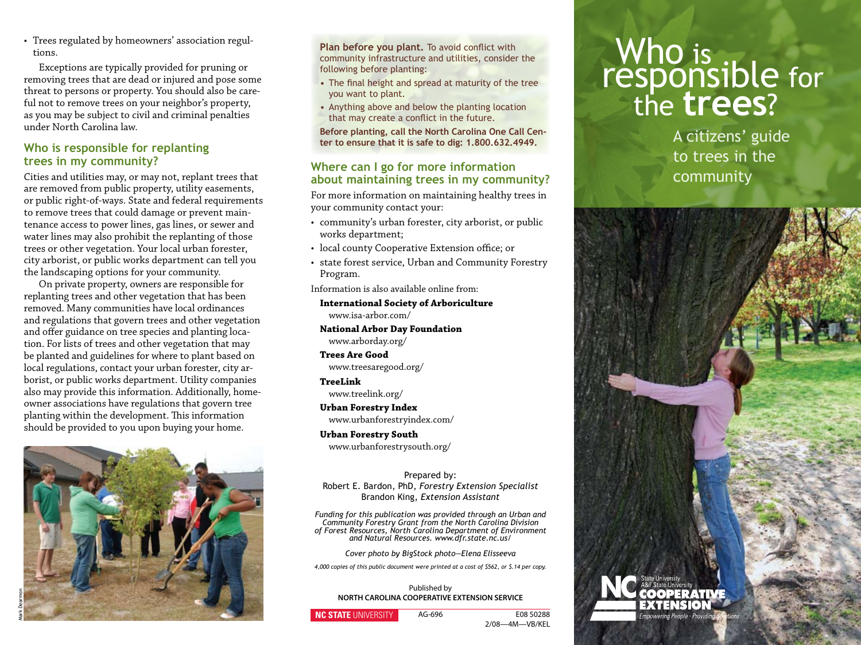• Trees regulated by homeowners' association regultions.

 Exceptions are typically provided for pruning or removing trees that are dead or injured and pose some threat to persons or property. You should also be careful not to remove trees on your neighbor's property, as you may be subject to civil and criminal penalties under North Carolina law.

### **Who is responsible for replanting trees in my community?**

Cities and utilities may, or may not, replant trees that are removed from public property, utility easements, or public right-of-ways. State and federal requirements to remove trees that could damage or prevent maintenance access to power lines, gas lines, or sewer and water lines may also prohibit the replanting of those trees or other vegetation. Your local urban forester, city arborist, or public works department can tell you the landscaping options for your community.

 On private property, owners are responsible for replanting trees and other vegetation that has been removed. Many communities have local ordinances and regulations that govern trees and other vegetation and offer guidance on tree species and planting location. For lists of trees and other vegetation that may be planted and guidelines for where to plant based on local regulations, contact your urban forester, city arborist, or public works department. Utility companies also may provide this information. Additionally, homeowner associations have regulations that govern tree planting within the development. This information should be provided to you upon buying your home.



Plan before you plant. To avoid conflict with community infrastructure and utilities, consider the following before planting:

- The final height and spread at maturity of the tree you want to plant.
- Anything above and below the planting location that may create a conflict in the future.

**Before planting, call the North Carolina One Call Center to ensure that it is safe to dig: 1.800.632.4949.**

### **Where can I go for more information about maintaining trees in my community?**

For more information on maintaining healthy trees in your community contact your:

- community's urban forester, city arborist, or public works department;
- local county Cooperative Extension office; or
- state forest service, Urban and Community Forestry Program.

Information is also available online from:

### **International Society of Arboriculture**  www.isa-arbor.com/

**National Arbor Day Foundation** www.arborday.org/

**Trees Are Good** www.treesaregood.org/

### **TreeLink**

 www.treelink.org/

#### **Urban Forestry Index** www.urbanforestryindex.com/

**Urban Forestry South**

 www.urbanforestrysouth.org/

Prepared by: Robert E. Bardon, PhD, *Forestry Extension Specialist* Brandon King, *Extension Assistant*

*Funding for this publication was provided through an Urban and Community Forestry Grant from the North Carolina Division of Forest Resources, North Carolina Department of Environment and Natural Resources. www.dfr.state.nc.us/*

*Cover photo by BigStock photo—Elena Elisseeva*

*4,000 copies of this public document were printed at a cost of \$562, or \$.14 per copy.*

Published by **NORTH CAROLINA COOPERATIVE EXTENSION SERVICE**

### **NC STATE** UNIVERSITY

AG-696 E08 50288 2/08—4M—VB/KEL

# Who is<br>responsible for the **trees**?

A citizens' guide to trees in the community